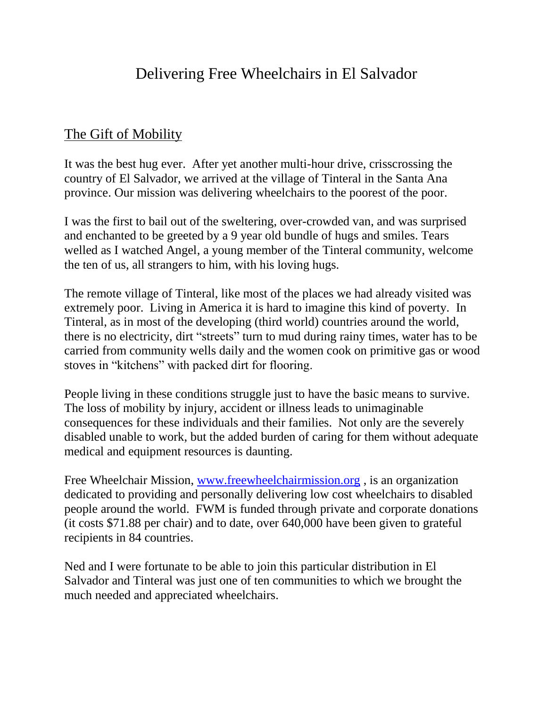## Delivering Free Wheelchairs in El Salvador

## The Gift of Mobility

It was the best hug ever. After yet another multi-hour drive, crisscrossing the country of El Salvador, we arrived at the village of Tinteral in the Santa Ana province. Our mission was delivering wheelchairs to the poorest of the poor.

I was the first to bail out of the sweltering, over-crowded van, and was surprised and enchanted to be greeted by a 9 year old bundle of hugs and smiles. Tears welled as I watched Angel, a young member of the Tinteral community, welcome the ten of us, all strangers to him, with his loving hugs.

The remote village of Tinteral, like most of the places we had already visited was extremely poor. Living in America it is hard to imagine this kind of poverty. In Tinteral, as in most of the developing (third world) countries around the world, there is no electricity, dirt "streets" turn to mud during rainy times, water has to be carried from community wells daily and the women cook on primitive gas or wood stoves in "kitchens" with packed dirt for flooring.

People living in these conditions struggle just to have the basic means to survive. The loss of mobility by injury, accident or illness leads to unimaginable consequences for these individuals and their families. Not only are the severely disabled unable to work, but the added burden of caring for them without adequate medical and equipment resources is daunting.

Free Wheelchair Mission, [www.freewheelchairmission.org](http://www.freewheelchairmission.org/) , is an organization dedicated to providing and personally delivering low cost wheelchairs to disabled people around the world. FWM is funded through private and corporate donations (it costs \$71.88 per chair) and to date, over 640,000 have been given to grateful recipients in 84 countries.

Ned and I were fortunate to be able to join this particular distribution in El Salvador and Tinteral was just one of ten communities to which we brought the much needed and appreciated wheelchairs.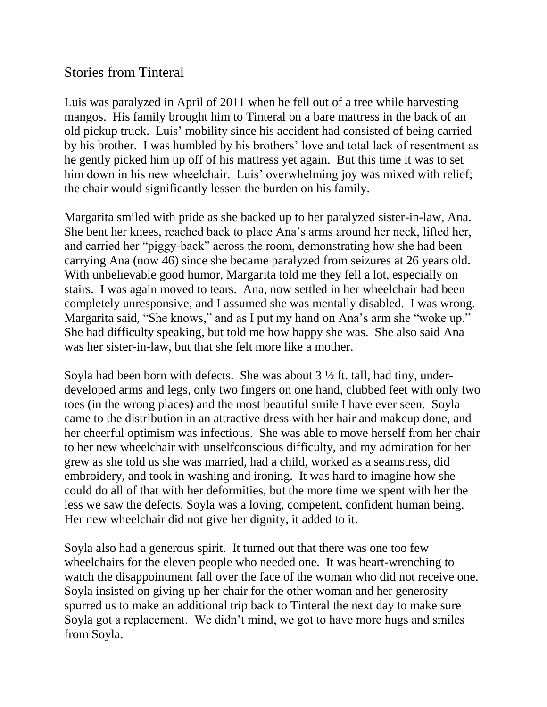## Stories from Tinteral

Luis was paralyzed in April of 2011 when he fell out of a tree while harvesting mangos. His family brought him to Tinteral on a bare mattress in the back of an old pickup truck. Luis' mobility since his accident had consisted of being carried by his brother. I was humbled by his brothers' love and total lack of resentment as he gently picked him up off of his mattress yet again. But this time it was to set him down in his new wheelchair. Luis' overwhelming joy was mixed with relief; the chair would significantly lessen the burden on his family.

Margarita smiled with pride as she backed up to her paralyzed sister-in-law, Ana. She bent her knees, reached back to place Ana's arms around her neck, lifted her, and carried her "piggy-back" across the room, demonstrating how she had been carrying Ana (now 46) since she became paralyzed from seizures at 26 years old. With unbelievable good humor, Margarita told me they fell a lot, especially on stairs. I was again moved to tears. Ana, now settled in her wheelchair had been completely unresponsive, and I assumed she was mentally disabled. I was wrong. Margarita said, "She knows," and as I put my hand on Ana's arm she "woke up." She had difficulty speaking, but told me how happy she was. She also said Ana was her sister-in-law, but that she felt more like a mother.

Soyla had been born with defects. She was about  $3\frac{1}{2}$  ft. tall, had tiny, underdeveloped arms and legs, only two fingers on one hand, clubbed feet with only two toes (in the wrong places) and the most beautiful smile I have ever seen. Soyla came to the distribution in an attractive dress with her hair and makeup done, and her cheerful optimism was infectious. She was able to move herself from her chair to her new wheelchair with unselfconscious difficulty, and my admiration for her grew as she told us she was married, had a child, worked as a seamstress, did embroidery, and took in washing and ironing. It was hard to imagine how she could do all of that with her deformities, but the more time we spent with her the less we saw the defects. Soyla was a loving, competent, confident human being. Her new wheelchair did not give her dignity, it added to it.

Soyla also had a generous spirit. It turned out that there was one too few wheelchairs for the eleven people who needed one. It was heart-wrenching to watch the disappointment fall over the face of the woman who did not receive one. Soyla insisted on giving up her chair for the other woman and her generosity spurred us to make an additional trip back to Tinteral the next day to make sure Soyla got a replacement. We didn't mind, we got to have more hugs and smiles from Soyla.